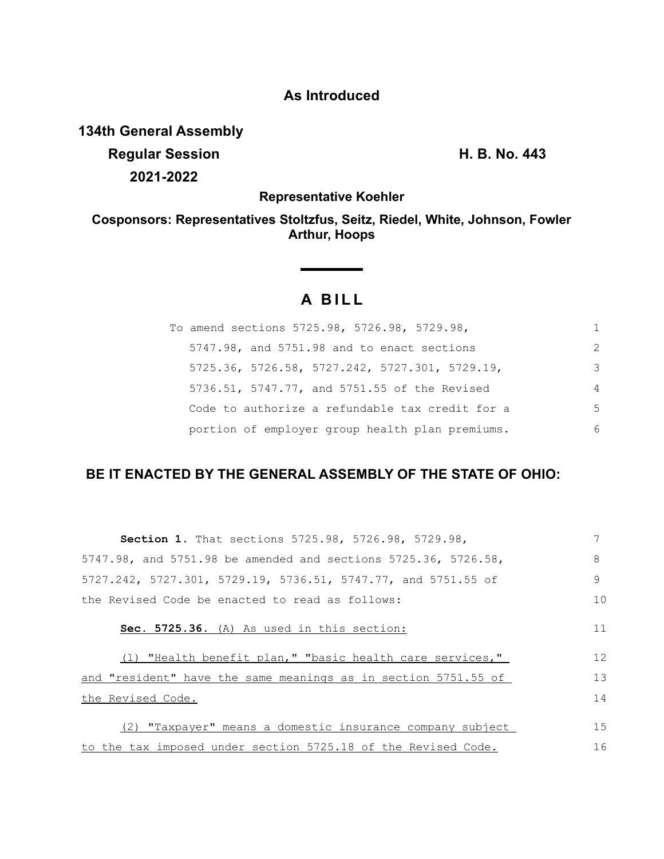### **As Introduced**

**134th General Assembly**

**Regular Session H. B. No. 443 2021-2022**

**Representative Koehler**

**Cosponsors: Representatives Stoltzfus, Seitz, Riedel, White, Johnson, Fowler Arthur, Hoops**

# **A BILL**

| To amend sections 5725.98, 5726.98, 5729.98,    |               |
|-------------------------------------------------|---------------|
| 5747.98, and 5751.98 and to enact sections      | $\mathcal{P}$ |
| 5725.36, 5726.58, 5727.242, 5727.301, 5729.19,  | 3             |
| 5736.51, 5747.77, and 5751.55 of the Revised    | 4             |
| Code to authorize a refundable tax credit for a | .5            |
| portion of employer group health plan premiums. | 6             |

## **BE IT ENACTED BY THE GENERAL ASSEMBLY OF THE STATE OF OHIO:**

| Section 1. That sections 5725.98, 5726.98, 5729.98,            |    |
|----------------------------------------------------------------|----|
| 5747.98, and 5751.98 be amended and sections 5725.36, 5726.58, | 8  |
| 5727.242, 5727.301, 5729.19, 5736.51, 5747.77, and 5751.55 of  | 9  |
| the Revised Code be enacted to read as follows:                | 10 |
| Sec. 5725.36. (A) As used in this section:                     | 11 |
| (1) "Health benefit plan," "basic health care services,"       | 12 |
| and "resident" have the same meanings as in section 5751.55 of | 13 |
| the Revised Code.                                              | 14 |
| (2) "Taxpayer" means a domestic insurance company subject      | 15 |
| to the tax imposed under section 5725.18 of the Revised Code.  | 16 |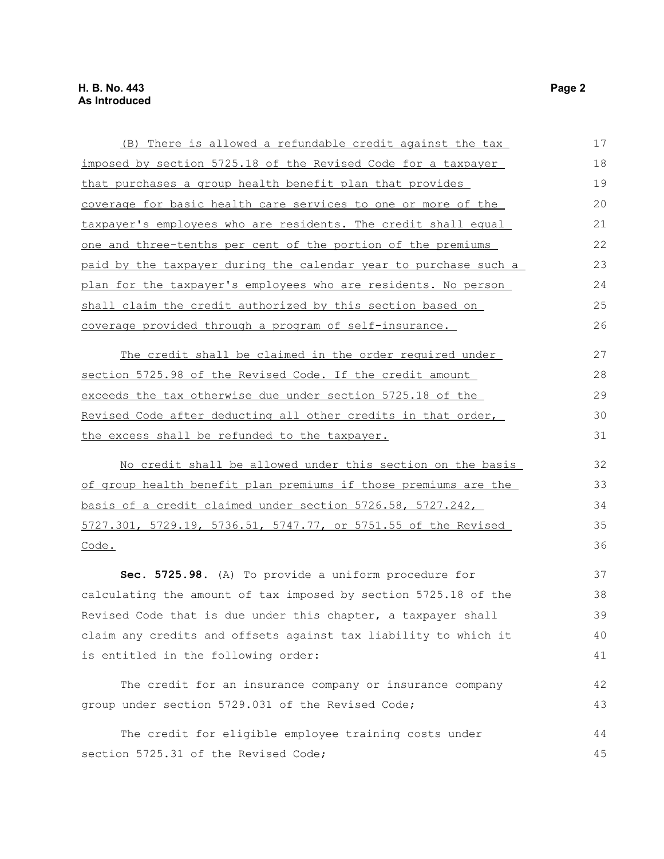| (B) There is allowed a refundable credit against the tax            | 17 |
|---------------------------------------------------------------------|----|
| imposed by section 5725.18 of the Revised Code for a taxpayer       | 18 |
| that purchases a group health benefit plan that provides            | 19 |
| coverage for basic health care services to one or more of the       | 20 |
| taxpayer's employees who are residents. The credit shall equal      | 21 |
| <u>one and three-tenths per cent of the portion of the premiums</u> | 22 |
| paid by the taxpayer during the calendar year to purchase such a    | 23 |
| plan for the taxpayer's employees who are residents. No person      | 24 |
| shall claim the credit authorized by this section based on          | 25 |
| coverage provided through a program of self-insurance.              | 26 |
| The credit shall be claimed in the order required under             | 27 |
| section 5725.98 of the Revised Code. If the credit amount           | 28 |
| exceeds the tax otherwise due under section 5725.18 of the          | 29 |
| Revised Code after deducting all other credits in that order,       | 30 |
| the excess shall be refunded to the taxpayer.                       | 31 |
| No credit shall be allowed under this section on the basis          | 32 |
| of group health benefit plan premiums if those premiums are the     | 33 |
| basis of a credit claimed under section 5726.58, 5727.242,          | 34 |
| 5727.301, 5729.19, 5736.51, 5747.77, or 5751.55 of the Revised      | 35 |
| Code.                                                               | 36 |
| Sec. 5725.98. (A) To provide a uniform procedure for                | 37 |
| calculating the amount of tax imposed by section 5725.18 of the     | 38 |
| Revised Code that is due under this chapter, a taxpayer shall       | 39 |
| claim any credits and offsets against tax liability to which it     | 40 |
| is entitled in the following order:                                 | 41 |
| The credit for an insurance company or insurance company            | 42 |
| group under section 5729.031 of the Revised Code;                   | 43 |
| The credit for eligible employee training costs under               | 44 |
| section 5725.31 of the Revised Code;                                | 45 |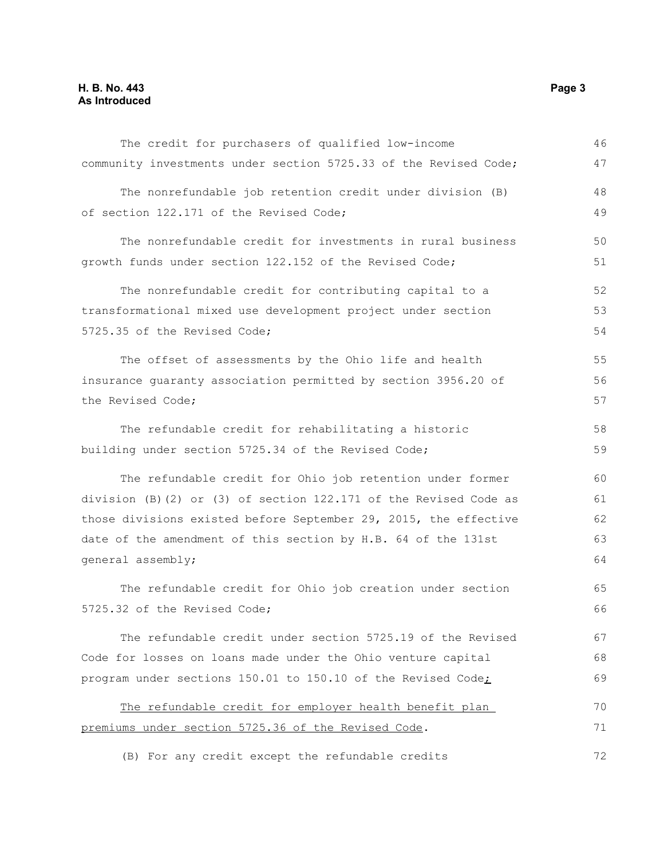#### **H. B. No. 443 Page 3 As Introduced**

| The credit for purchasers of qualified low-income                 | 46 |
|-------------------------------------------------------------------|----|
| community investments under section 5725.33 of the Revised Code;  | 47 |
| The nonrefundable job retention credit under division (B)         | 48 |
| of section 122.171 of the Revised Code;                           | 49 |
| The nonrefundable credit for investments in rural business        | 50 |
| growth funds under section 122.152 of the Revised Code;           | 51 |
| The nonrefundable credit for contributing capital to a            | 52 |
| transformational mixed use development project under section      | 53 |
| 5725.35 of the Revised Code;                                      | 54 |
| The offset of assessments by the Ohio life and health             | 55 |
| insurance guaranty association permitted by section 3956.20 of    | 56 |
| the Revised Code;                                                 | 57 |
| The refundable credit for rehabilitating a historic               | 58 |
| building under section 5725.34 of the Revised Code;               | 59 |
| The refundable credit for Ohio job retention under former         | 60 |
| division (B) (2) or (3) of section 122.171 of the Revised Code as | 61 |
| those divisions existed before September 29, 2015, the effective  | 62 |
| date of the amendment of this section by H.B. 64 of the 131st     | 63 |
| general assembly;                                                 | 64 |
| The refundable credit for Ohio job creation under section         | 65 |
| 5725.32 of the Revised Code;                                      | 66 |
| The refundable credit under section 5725.19 of the Revised        | 67 |
| Code for losses on loans made under the Ohio venture capital      | 68 |
| program under sections 150.01 to 150.10 of the Revised Code;      | 69 |
| The refundable credit for employer health benefit plan            | 70 |
| premiums under section 5725.36 of the Revised Code.               | 71 |
| (B) For any credit except the refundable credits                  | 72 |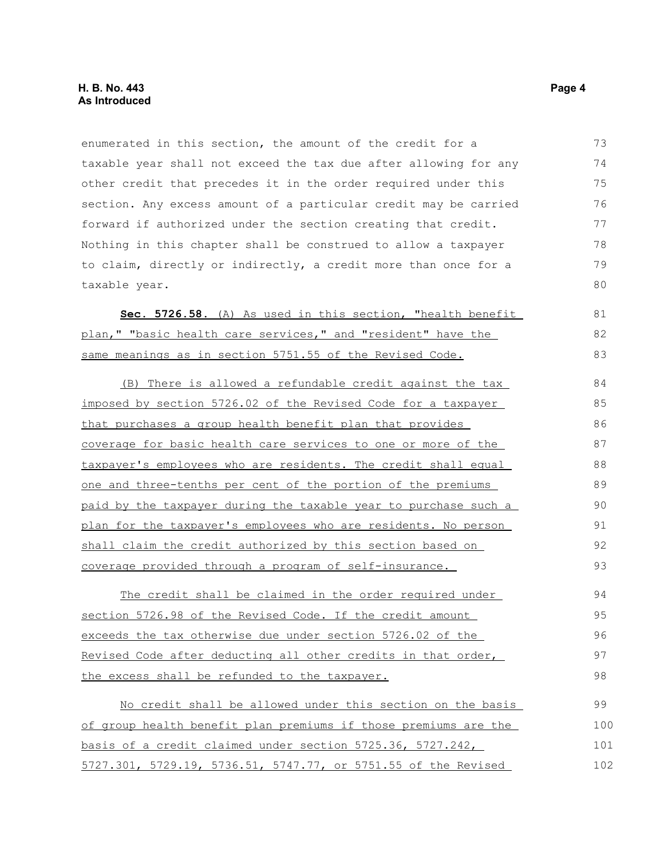enumerated in this section, the amount of the credit for a taxable year shall not exceed the tax due after allowing for any other credit that precedes it in the order required under this section. Any excess amount of a particular credit may be carried forward if authorized under the section creating that credit. Nothing in this chapter shall be construed to allow a taxpayer to claim, directly or indirectly, a credit more than once for a taxable year. 73 74 75 76 77 78 79 80

Sec. 5726.58. (A) As used in this section, "health benefit plan," "basic health care services," and "resident" have the same meanings as in section 5751.55 of the Revised Code.

(B) There is allowed a refundable credit against the tax imposed by section 5726.02 of the Revised Code for a taxpayer that purchases a group health benefit plan that provides coverage for basic health care services to one or more of the taxpayer's employees who are residents. The credit shall equal one and three-tenths per cent of the portion of the premiums paid by the taxpayer during the taxable year to purchase such a plan for the taxpayer's employees who are residents. No person shall claim the credit authorized by this section based on coverage provided through a program of self-insurance. 84 85 86 87 88 89 90 91 92 93

The credit shall be claimed in the order required under section 5726.98 of the Revised Code. If the credit amount exceeds the tax otherwise due under section 5726.02 of the Revised Code after deducting all other credits in that order, the excess shall be refunded to the taxpayer. 94 95 96 97 98

No credit shall be allowed under this section on the basis of group health benefit plan premiums if those premiums are the basis of a credit claimed under section 5725.36, 5727.242, 5727.301, 5729.19, 5736.51, 5747.77, or 5751.55 of the Revised 99 100 101 102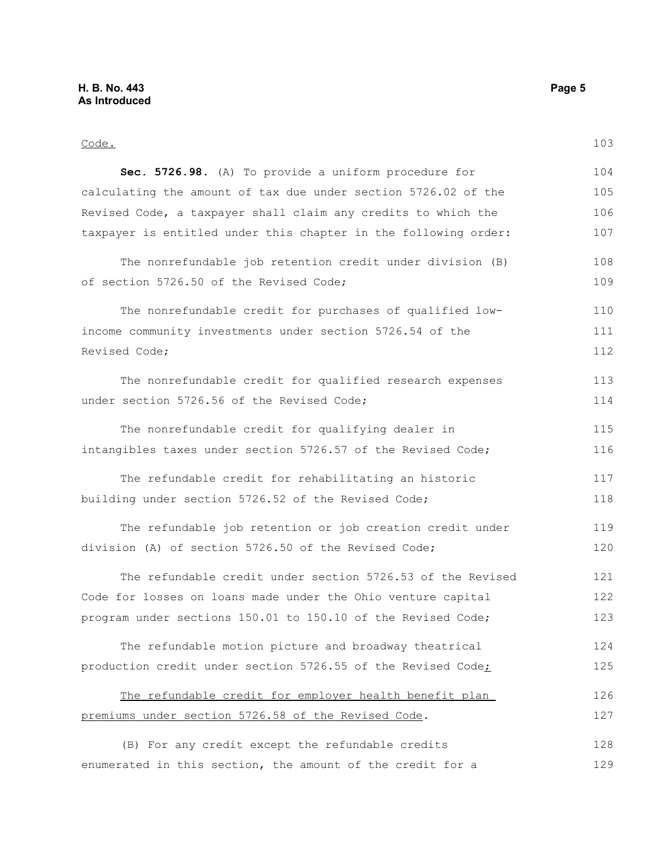Code. **Sec. 5726.98.** (A) To provide a uniform procedure for calculating the amount of tax due under section 5726.02 of the Revised Code, a taxpayer shall claim any credits to which the taxpayer is entitled under this chapter in the following order: The nonrefundable job retention credit under division (B) of section 5726.50 of the Revised Code; The nonrefundable credit for purchases of qualified lowincome community investments under section 5726.54 of the Revised Code; The nonrefundable credit for qualified research expenses under section 5726.56 of the Revised Code; The nonrefundable credit for qualifying dealer in intangibles taxes under section 5726.57 of the Revised Code; The refundable credit for rehabilitating an historic building under section 5726.52 of the Revised Code; The refundable job retention or job creation credit under division (A) of section 5726.50 of the Revised Code; The refundable credit under section 5726.53 of the Revised Code for losses on loans made under the Ohio venture capital program under sections 150.01 to 150.10 of the Revised Code; The refundable motion picture and broadway theatrical production credit under section 5726.55 of the Revised Code; The refundable credit for employer health benefit plan premiums under section 5726.58 of the Revised Code. (B) For any credit except the refundable credits enumerated in this section, the amount of the credit for a 103 104 105 106 107 108 109 110 111 112 113 114 115 116 117 118 119 120 121 122 123 124 125 126 127 128 129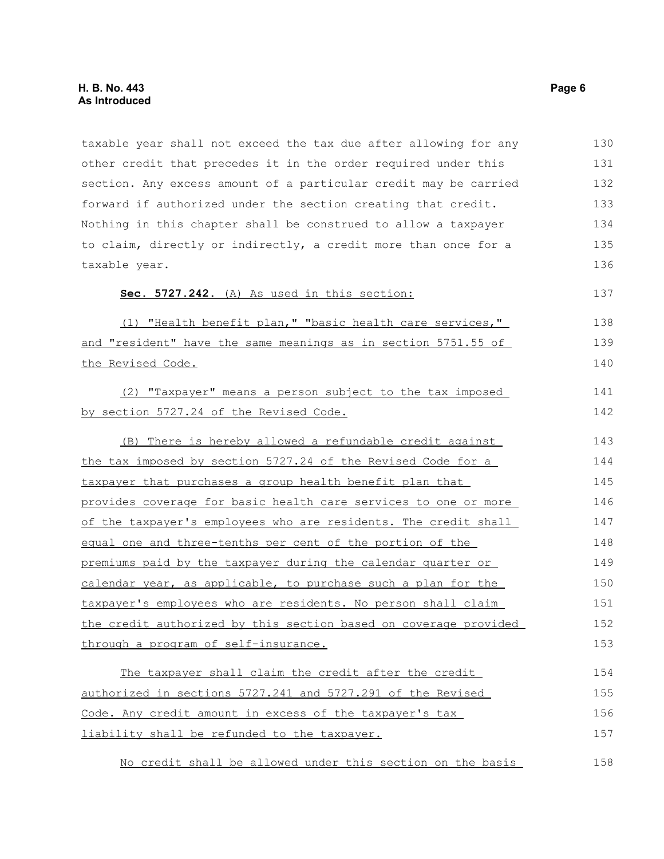taxable year shall not exceed the tax due after allowing for any other credit that precedes it in the order required under this section. Any excess amount of a particular credit may be carried forward if authorized under the section creating that credit. Nothing in this chapter shall be construed to allow a taxpayer to claim, directly or indirectly, a credit more than once for a taxable year. **Sec. 5727.242.** (A) As used in this section: (1) "Health benefit plan," "basic health care services," and "resident" have the same meanings as in section 5751.55 of the Revised Code. (2) "Taxpayer" means a person subject to the tax imposed by section 5727.24 of the Revised Code. (B) There is hereby allowed a refundable credit against the tax imposed by section 5727.24 of the Revised Code for a taxpayer that purchases a group health benefit plan that provides coverage for basic health care services to one or more of the taxpayer's employees who are residents. The credit shall equal one and three-tenths per cent of the portion of the premiums paid by the taxpayer during the calendar quarter or calendar year, as applicable, to purchase such a plan for the taxpayer's employees who are residents. No person shall claim the credit authorized by this section based on coverage provided through a program of self-insurance. The taxpayer shall claim the credit after the credit authorized in sections 5727.241 and 5727.291 of the Revised Code. Any credit amount in excess of the taxpayer's tax liability shall be refunded to the taxpayer. 130 131 132 133 134 135 136 137 138 139 140 141 142 143 144 145 146 147 148 149 150 151 152 153 154 155 156 157

No credit shall be allowed under this section on the basis 158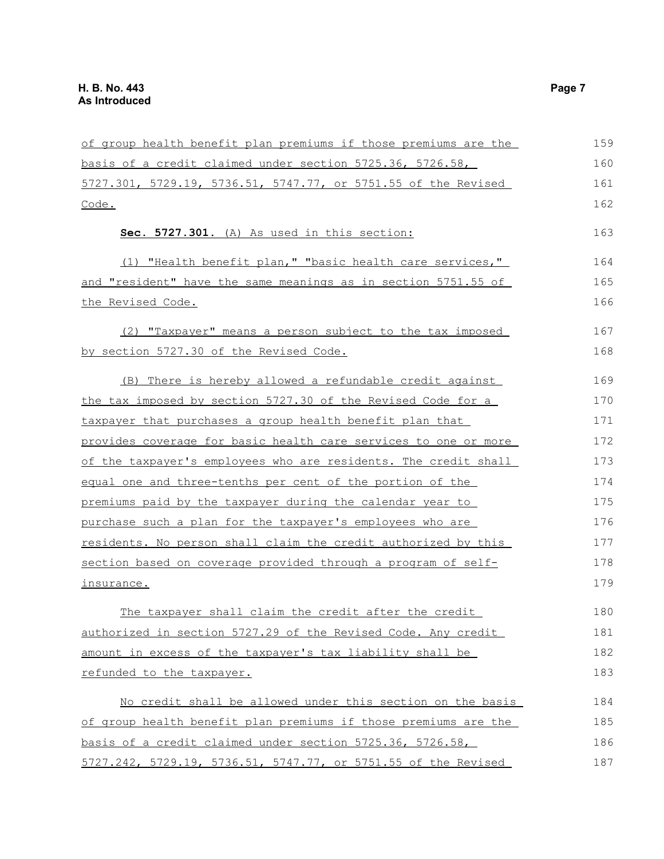| of group health benefit plan premiums if those premiums are the | 159 |
|-----------------------------------------------------------------|-----|
| basis of a credit claimed under section 5725.36, 5726.58,       | 160 |
| 5727.301, 5729.19, 5736.51, 5747.77, or 5751.55 of the Revised  | 161 |
| Code.                                                           | 162 |
| Sec. 5727.301. (A) As used in this section:                     | 163 |
| (1) "Health benefit plan," "basic health care services,"        | 164 |
| and "resident" have the same meanings as in section 5751.55 of  | 165 |
| <u>the Revised Code.</u>                                        | 166 |
| (2) "Taxpayer" means a person subject to the tax imposed        | 167 |
| by section 5727.30 of the Revised Code.                         | 168 |
| (B) There is hereby allowed a refundable credit against         | 169 |
| the tax imposed by section 5727.30 of the Revised Code for a    | 170 |
| taxpayer that purchases a group health benefit plan that        | 171 |
| provides coverage for basic health care services to one or more | 172 |
| of the taxpayer's employees who are residents. The credit shall | 173 |
| equal one and three-tenths per cent of the portion of the       | 174 |
| premiums paid by the taxpayer during the calendar year to       | 175 |
| purchase such a plan for the taxpayer's employees who are       | 176 |
| residents. No person shall claim the credit authorized by this  | 177 |
| section based on coverage provided through a program of self-   | 178 |
| insurance.                                                      | 179 |
| The taxpayer shall claim the credit after the credit            | 180 |
| authorized in section 5727.29 of the Revised Code. Any credit   | 181 |
| amount in excess of the taxpayer's tax liability shall be       | 182 |
| refunded to the taxpayer.                                       | 183 |
| No credit shall be allowed under this section on the basis      | 184 |
| of group health benefit plan premiums if those premiums are the | 185 |
| basis of a credit claimed under section 5725.36, 5726.58,       | 186 |
| 5727.242, 5729.19, 5736.51, 5747.77, or 5751.55 of the Revised  | 187 |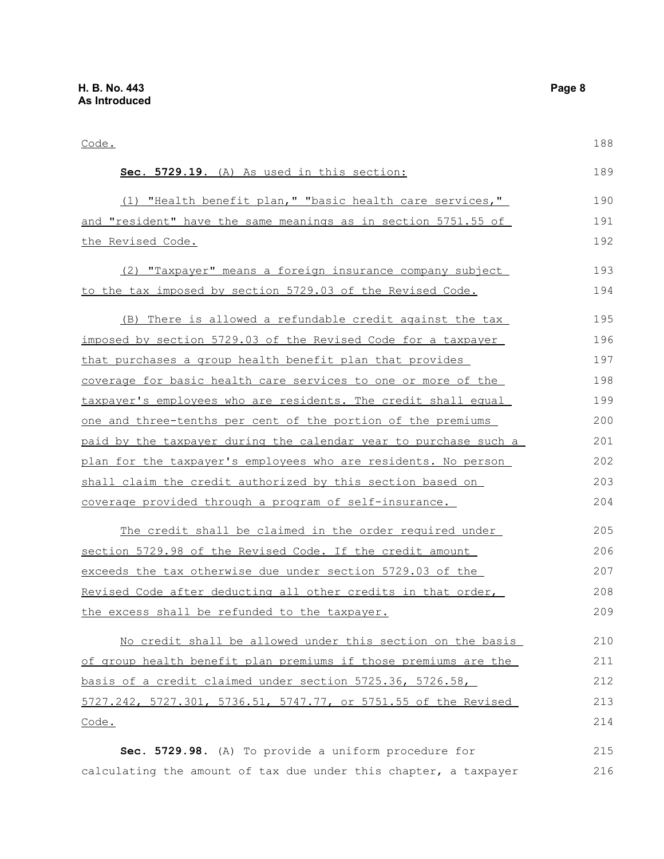Code. **Sec. 5729.19.** (A) As used in this section: (1) "Health benefit plan," "basic health care services," and "resident" have the same meanings as in section 5751.55 of the Revised Code. (2) "Taxpayer" means a foreign insurance company subject to the tax imposed by section 5729.03 of the Revised Code. (B) There is allowed a refundable credit against the tax imposed by section 5729.03 of the Revised Code for a taxpayer that purchases a group health benefit plan that provides coverage for basic health care services to one or more of the taxpayer's employees who are residents. The credit shall equal one and three-tenths per cent of the portion of the premiums paid by the taxpayer during the calendar year to purchase such a plan for the taxpayer's employees who are residents. No person shall claim the credit authorized by this section based on coverage provided through a program of self-insurance. The credit shall be claimed in the order required under section 5729.98 of the Revised Code. If the credit amount exceeds the tax otherwise due under section 5729.03 of the Revised Code after deducting all other credits in that order, the excess shall be refunded to the taxpayer. No credit shall be allowed under this section on the basis of group health benefit plan premiums if those premiums are the basis of a credit claimed under section 5725.36, 5726.58, 5727.242, 5727.301, 5736.51, 5747.77, or 5751.55 of the Revised Code. **Sec. 5729.98.** (A) To provide a uniform procedure for 188 189 190 191 192 193 194 195 196 197 198 199 200 201 202 203 204 205 206 207 208 209 210 211 212 213 214 215

calculating the amount of tax due under this chapter, a taxpayer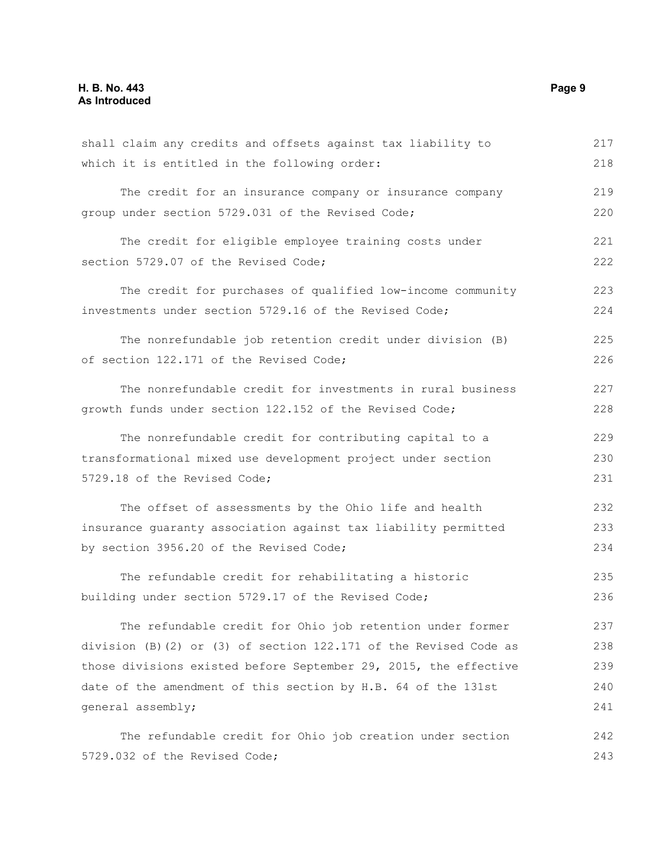| shall claim any credits and offsets against tax liability to       | 217 |
|--------------------------------------------------------------------|-----|
| which it is entitled in the following order:                       | 218 |
| The credit for an insurance company or insurance company           | 219 |
| group under section 5729.031 of the Revised Code;                  | 220 |
| The credit for eligible employee training costs under              | 221 |
| section 5729.07 of the Revised Code;                               | 222 |
| The credit for purchases of qualified low-income community         | 223 |
| investments under section 5729.16 of the Revised Code;             | 224 |
| The nonrefundable job retention credit under division (B)          | 225 |
| of section 122.171 of the Revised Code;                            | 226 |
| The nonrefundable credit for investments in rural business         | 227 |
| growth funds under section 122.152 of the Revised Code;            | 228 |
| The nonrefundable credit for contributing capital to a             | 229 |
| transformational mixed use development project under section       | 230 |
| 5729.18 of the Revised Code;                                       | 231 |
| The offset of assessments by the Ohio life and health              | 232 |
| insurance quaranty association against tax liability permitted     | 233 |
| by section 3956.20 of the Revised Code;                            | 234 |
| The refundable credit for rehabilitating a historic                | 235 |
| building under section 5729.17 of the Revised Code;                | 236 |
| The refundable credit for Ohio job retention under former          | 237 |
| division (B)(2) or (3) of section $122.171$ of the Revised Code as | 238 |
| those divisions existed before September 29, 2015, the effective   | 239 |
| date of the amendment of this section by H.B. 64 of the 131st      | 240 |
| general assembly;                                                  | 241 |
| The refundable credit for Ohio job creation under section          | 242 |
| 5729.032 of the Revised Code;                                      | 243 |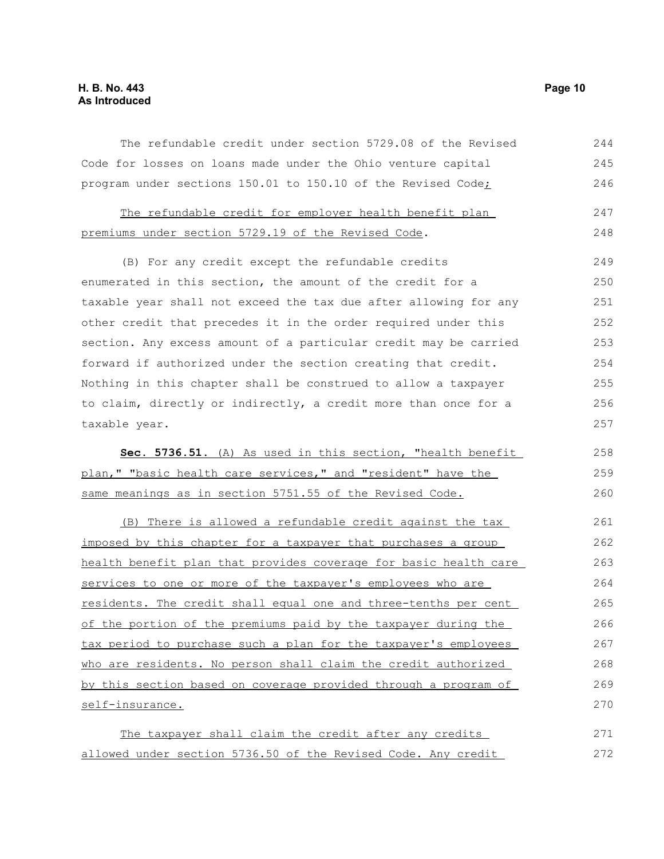#### **H. B. No. 443 Page 10 As Introduced**

The refundable credit under section 5729.08 of the Revised Code for losses on loans made under the Ohio venture capital program under sections 150.01 to 150.10 of the Revised Code; 244 245 246

|                                                     |  |  |  | The refundable credit for employer health benefit plan |  | 247 |
|-----------------------------------------------------|--|--|--|--------------------------------------------------------|--|-----|
| premiums under section 5729.19 of the Revised Code. |  |  |  |                                                        |  | 248 |

(B) For any credit except the refundable credits enumerated in this section, the amount of the credit for a taxable year shall not exceed the tax due after allowing for any other credit that precedes it in the order required under this section. Any excess amount of a particular credit may be carried forward if authorized under the section creating that credit. Nothing in this chapter shall be construed to allow a taxpayer to claim, directly or indirectly, a credit more than once for a taxable year. 249 250 251 252 253 254 255 256 257

|                                                              | Sec. 5736.51. (A) As used in this section, "health benefit |  |  | 258 |
|--------------------------------------------------------------|------------------------------------------------------------|--|--|-----|
| plan," "basic health care services," and "resident" have the |                                                            |  |  | 259 |
| same meanings as in section 5751.55 of the Revised Code.     |                                                            |  |  | 260 |

(B) There is allowed a refundable credit against the tax imposed by this chapter for a taxpayer that purchases a group health benefit plan that provides coverage for basic health care services to one or more of the taxpayer's employees who are residents. The credit shall equal one and three-tenths per cent of the portion of the premiums paid by the taxpayer during the tax period to purchase such a plan for the taxpayer's employees who are residents. No person shall claim the credit authorized by this section based on coverage provided through a program of self-insurance. 261 262 263 264 265 266 267 268 269 270

The taxpayer shall claim the credit after any credits allowed under section 5736.50 of the Revised Code. Any credit 271 272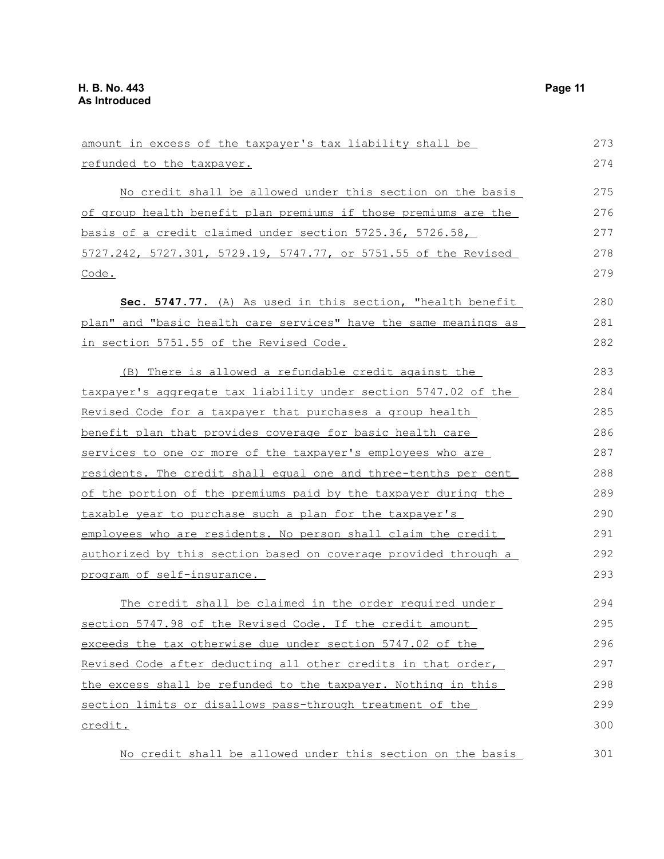credit.

| amount in excess of the taxpayer's tax liability shall be        | 273 |
|------------------------------------------------------------------|-----|
| refunded to the taxpayer.                                        | 274 |
| No credit shall be allowed under this section on the basis       | 275 |
| of group health benefit plan premiums if those premiums are the  | 276 |
| basis of a credit claimed under section 5725.36, 5726.58,        | 277 |
| 5727.242, 5727.301, 5729.19, 5747.77, or 5751.55 of the Revised  | 278 |
| Code.                                                            | 279 |
| Sec. 5747.77. (A) As used in this section, "health benefit       | 280 |
| plan" and "basic health care services" have the same meanings as | 281 |
| in section 5751.55 of the Revised Code.                          | 282 |
| (B) There is allowed a refundable credit against the             | 283 |
| taxpayer's aggregate tax liability under section 5747.02 of the  | 284 |
| Revised Code for a taxpayer that purchases a group health        | 285 |
| benefit plan that provides coverage for basic health care        | 286 |
| services to one or more of the taxpayer's employees who are      | 287 |
| residents. The credit shall equal one and three-tenths per cent  | 288 |
| of the portion of the premiums paid by the taxpayer during the   | 289 |
| taxable year to purchase such a plan for the taxpayer's          | 290 |
| employees who are residents. No person shall claim the credit    | 291 |
| authorized by this section based on coverage provided through a  | 292 |
| program of self-insurance.                                       | 293 |
| The credit shall be claimed in the order required under          | 294 |
| section 5747.98 of the Revised Code. If the credit amount        | 295 |
| exceeds the tax otherwise due under section 5747.02 of the       | 296 |
| Revised Code after deducting all other credits in that order,    | 297 |
| the excess shall be refunded to the taxpayer. Nothing in this    | 298 |
| section limits or disallows pass-through treatment of the        | 299 |

No credit shall be allowed under this section on the basis

300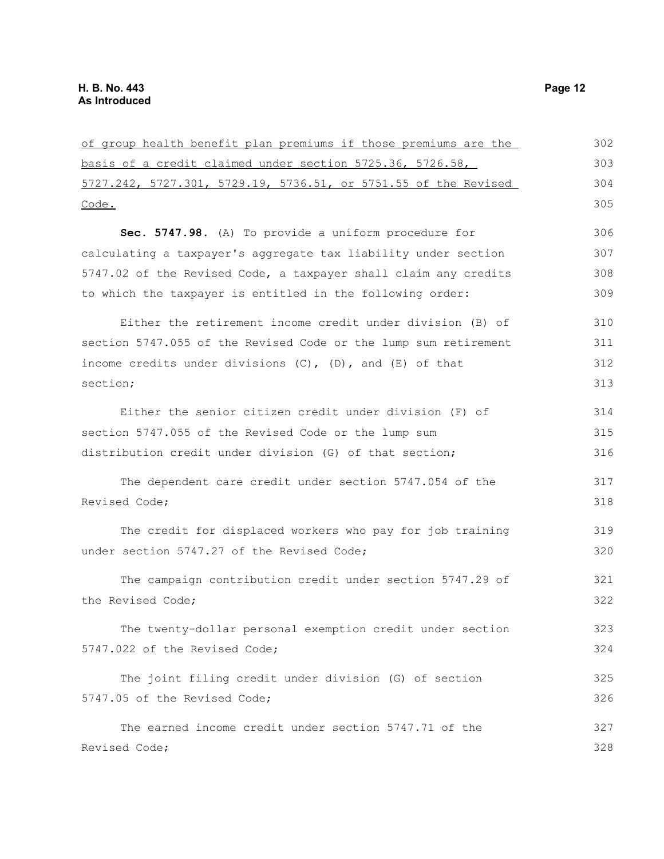| of group health benefit plan premiums if those premiums are the | 302 |
|-----------------------------------------------------------------|-----|
| basis of a credit claimed under section 5725.36, 5726.58,       | 303 |
| 5727.242, 5727.301, 5729.19, 5736.51, or 5751.55 of the Revised | 304 |
| Code.                                                           | 305 |
| Sec. 5747.98. (A) To provide a uniform procedure for            | 306 |
| calculating a taxpayer's aggregate tax liability under section  | 307 |
| 5747.02 of the Revised Code, a taxpayer shall claim any credits | 308 |
| to which the taxpayer is entitled in the following order:       | 309 |
| Either the retirement income credit under division (B) of       | 310 |
| section 5747.055 of the Revised Code or the lump sum retirement | 311 |
| income credits under divisions (C), (D), and (E) of that        | 312 |
| section;                                                        | 313 |
| Either the senior citizen credit under division (F) of          | 314 |
| section 5747.055 of the Revised Code or the lump sum            | 315 |
| distribution credit under division (G) of that section;         | 316 |
| The dependent care credit under section 5747.054 of the         | 317 |
| Revised Code;                                                   | 318 |
| The credit for displaced workers who pay for job training       | 319 |
| under section 5747.27 of the Revised Code;                      | 320 |
| The campaign contribution credit under section 5747.29 of       | 321 |
| the Revised Code;                                               | 322 |
| The twenty-dollar personal exemption credit under section       | 323 |
| 5747.022 of the Revised Code;                                   | 324 |
| The joint filing credit under division (G) of section           | 325 |
| 5747.05 of the Revised Code;                                    | 326 |
| The earned income credit under section 5747.71 of the           | 327 |
| Revised Code;                                                   | 328 |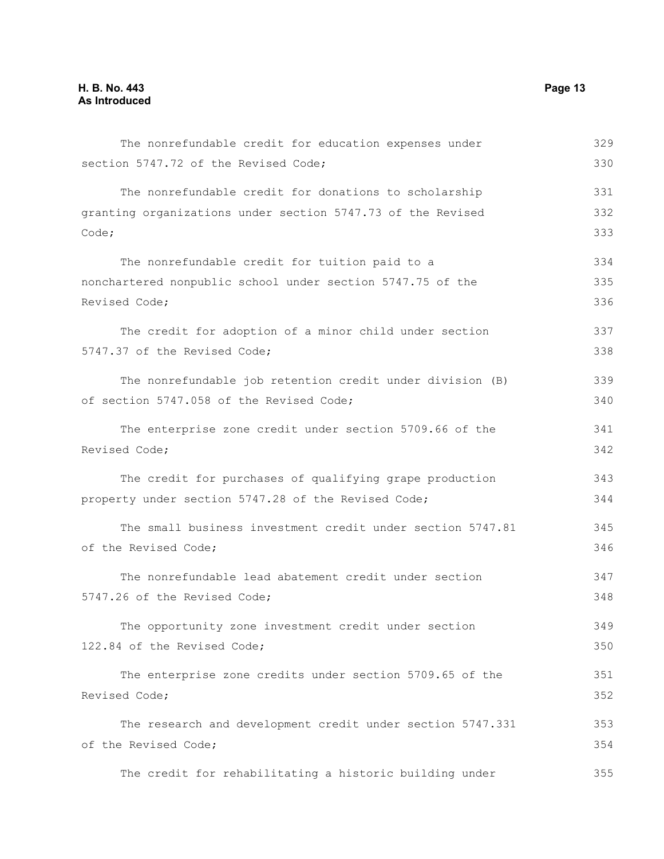| The nonrefundable credit for education expenses under       | 329 |
|-------------------------------------------------------------|-----|
| section 5747.72 of the Revised Code;                        | 330 |
| The nonrefundable credit for donations to scholarship       | 331 |
| granting organizations under section 5747.73 of the Revised | 332 |
| Code;                                                       | 333 |
| The nonrefundable credit for tuition paid to a              | 334 |
| nonchartered nonpublic school under section 5747.75 of the  | 335 |
| Revised Code;                                               | 336 |
| The credit for adoption of a minor child under section      | 337 |
| 5747.37 of the Revised Code;                                | 338 |
| The nonrefundable job retention credit under division (B)   | 339 |
| of section 5747.058 of the Revised Code;                    | 340 |
| The enterprise zone credit under section 5709.66 of the     | 341 |
| Revised Code;                                               | 342 |
|                                                             |     |

The credit for purchases of qualifying grape production property under section 5747.28 of the Revised Code; 343 344

The small business investment credit under section 5747.81 of the Revised Code; 345 346

The nonrefundable lead abatement credit under section 5747.26 of the Revised Code; 347 348

The opportunity zone investment credit under section 122.84 of the Revised Code;

The enterprise zone credits under section 5709.65 of the Revised Code; 351 352

The research and development credit under section 5747.331 of the Revised Code; 353 354

The credit for rehabilitating a historic building under 355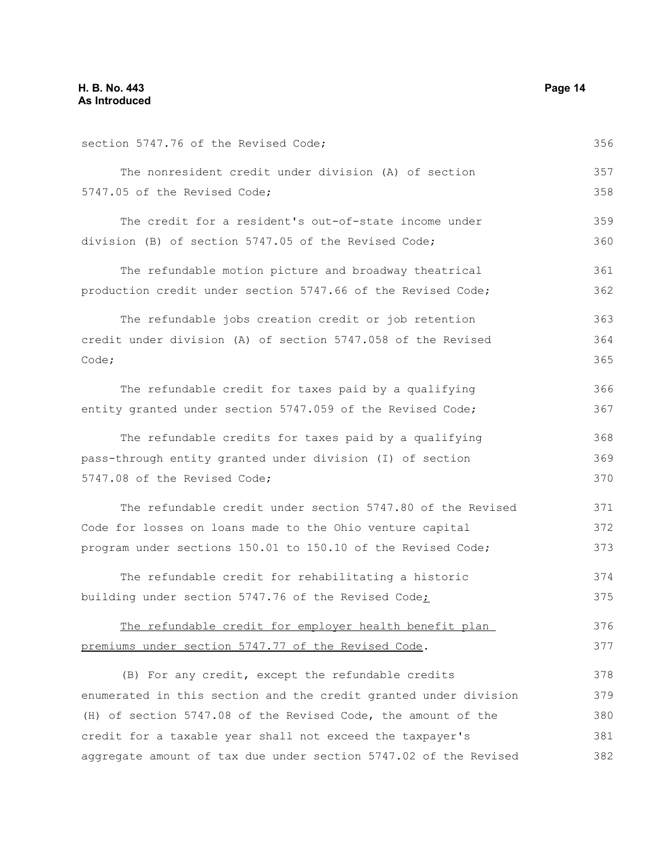| section 5747.76 of the Revised Code;                             | 356 |
|------------------------------------------------------------------|-----|
| The nonresident credit under division (A) of section             | 357 |
| 5747.05 of the Revised Code;                                     | 358 |
| The credit for a resident's out-of-state income under            | 359 |
| division (B) of section 5747.05 of the Revised Code;             | 360 |
| The refundable motion picture and broadway theatrical            | 361 |
| production credit under section 5747.66 of the Revised Code;     | 362 |
| The refundable jobs creation credit or job retention             | 363 |
| credit under division (A) of section 5747.058 of the Revised     | 364 |
| Code;                                                            | 365 |
| The refundable credit for taxes paid by a qualifying             | 366 |
| entity granted under section 5747.059 of the Revised Code;       | 367 |
| The refundable credits for taxes paid by a qualifying            | 368 |
| pass-through entity granted under division (I) of section        | 369 |
| 5747.08 of the Revised Code;                                     | 370 |
| The refundable credit under section 5747.80 of the Revised       | 371 |
| Code for losses on loans made to the Ohio venture capital        | 372 |
| program under sections 150.01 to 150.10 of the Revised Code;     | 373 |
| The refundable credit for rehabilitating a historic              | 374 |
| building under section 5747.76 of the Revised Code;              | 375 |
| The refundable credit for employer health benefit plan           | 376 |
| premiums under section 5747.77 of the Revised Code.              | 377 |
| (B) For any credit, except the refundable credits                | 378 |
| enumerated in this section and the credit granted under division | 379 |
| (H) of section 5747.08 of the Revised Code, the amount of the    | 380 |
| credit for a taxable year shall not exceed the taxpayer's        | 381 |
| aggregate amount of tax due under section 5747.02 of the Revised | 382 |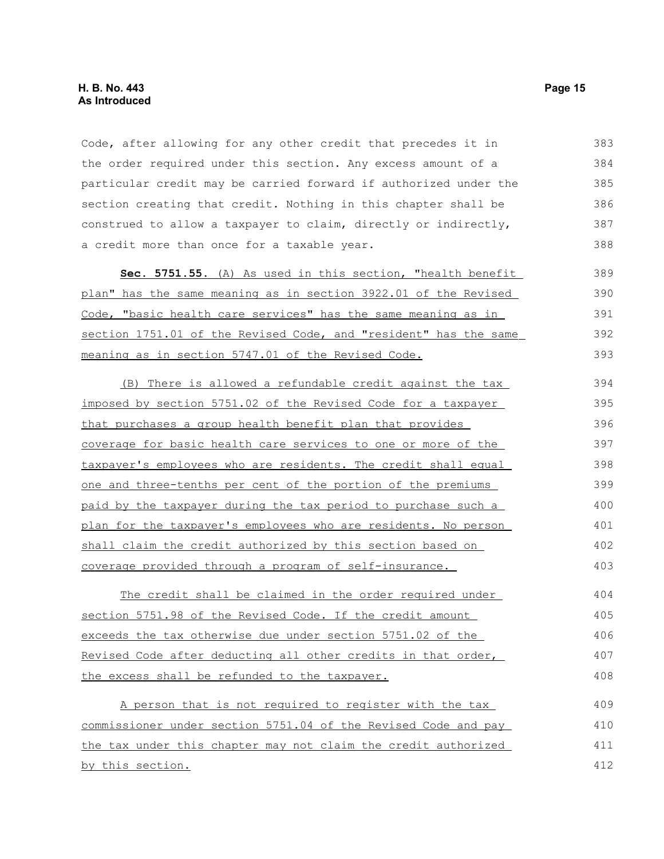Code, after allowing for any other credit that precedes it in the order required under this section. Any excess amount of a particular credit may be carried forward if authorized under the section creating that credit. Nothing in this chapter shall be construed to allow a taxpayer to claim, directly or indirectly, a credit more than once for a taxable year. 383 384 385 386 387 388

 **Sec. 5751.55.** (A) As used in this section, "health benefit plan" has the same meaning as in section 3922.01 of the Revised Code, "basic health care services" has the same meaning as in section 1751.01 of the Revised Code, and "resident" has the same meaning as in section 5747.01 of the Revised Code. 389 390 391 392 393

(B) There is allowed a refundable credit against the tax imposed by section 5751.02 of the Revised Code for a taxpayer that purchases a group health benefit plan that provides coverage for basic health care services to one or more of the taxpayer's employees who are residents . The credit shall equal one and three-tenths per cent of the portion of the premiums paid by the taxpayer during the tax period to purchase such a plan for the taxpayer's employees who are residents. No person shall claim the credit authorized by this section based on coverage provided through a program of self-insurance. 394 395 396 397 398 399 400 401 402 403

The credit shall be claimed in the order required under section 5751.98 of the Revised Code. If the credit amount exceeds the tax otherwise due under section 5751.02 of the Revised Code after deducting all other credits in that order, the excess shall be refunded to the taxpayer. 404 405 406 407 408

A person that is not required to register with the tax commissioner under section 5751.04 of the Revised Code and pay the tax under this chapter may not claim the credit authorized by this section. 409 410 411 412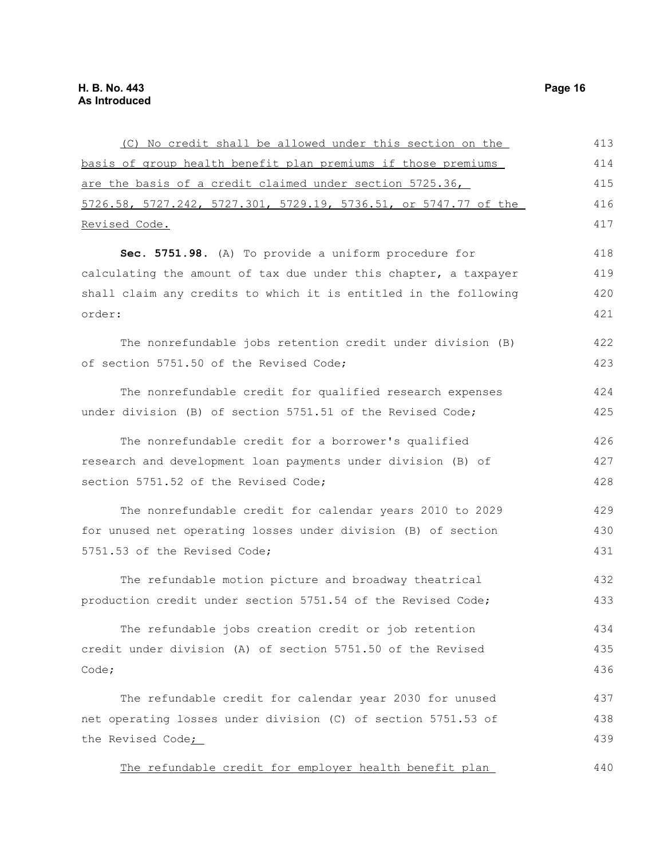| (C) No credit shall be allowed under this section on the         | 413 |
|------------------------------------------------------------------|-----|
| basis of group health benefit plan premiums if those premiums    | 414 |
| are the basis of a credit claimed under section 5725.36,         | 415 |
| 5726.58, 5727.242, 5727.301, 5729.19, 5736.51, or 5747.77 of the | 416 |
| Revised Code.                                                    | 417 |
| Sec. 5751.98. (A) To provide a uniform procedure for             | 418 |
| calculating the amount of tax due under this chapter, a taxpayer | 419 |
| shall claim any credits to which it is entitled in the following | 420 |
| order:                                                           | 421 |
| The nonrefundable jobs retention credit under division (B)       | 422 |
| of section 5751.50 of the Revised Code;                          | 423 |
| The nonrefundable credit for qualified research expenses         | 424 |
| under division (B) of section 5751.51 of the Revised Code;       | 425 |
| The nonrefundable credit for a borrower's qualified              | 426 |
| research and development loan payments under division (B) of     | 427 |
| section 5751.52 of the Revised Code;                             | 428 |
| The nonrefundable credit for calendar years 2010 to 2029         | 429 |
| for unused net operating losses under division (B) of section    | 430 |
| 5751.53 of the Revised Code;                                     | 431 |
| The refundable motion picture and broadway theatrical            | 432 |
| production credit under section 5751.54 of the Revised Code;     | 433 |
| The refundable jobs creation credit or job retention             | 434 |
| credit under division (A) of section 5751.50 of the Revised      | 435 |
| Code;                                                            | 436 |
| The refundable credit for calendar year 2030 for unused          | 437 |
| net operating losses under division (C) of section 5751.53 of    | 438 |
| the Revised Code <sub>i</sub>                                    | 439 |
| The refundable credit for employer health benefit plan           | 440 |